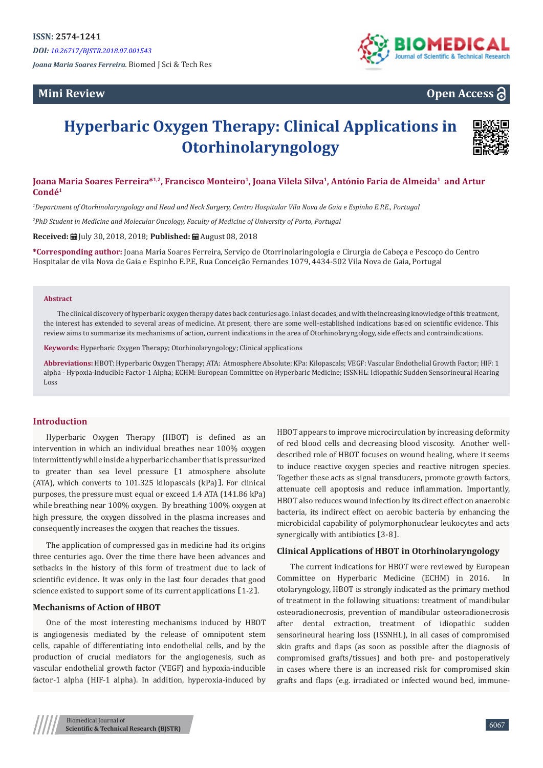*DOI: [10.26717/BJSTR.2018.07.001543](http://dx.doi.org/10.26717/BJSTR.2018.07.001543)*

*Joana Maria Soares Ferreira.* Biomed J Sci & Tech Res

# **Mini Review**



# **Open Access**

# **Hyperbaric Oxygen Therapy: Clinical Applications in Otorhinolaryngology**



## **Joana Maria Soares Ferreira\*1,2, Francisco Monteiro<sup>1</sup>, Joana Vilela Silva<sup>1</sup>, António Faria de Almeida<sup>1</sup> and Artur Condé<sup>1</sup>**

*1 Department of Otorhinolaryngology and Head and Neck Surgery, Centro Hospitalar Vila Nova de Gaia e Espinho E.P.E., Portugal*

*2 PhD Student in Medicine and Molecular Oncology, Faculty of Medicine of University of Porto, Portugal*

**Received:** July 30, 2018, 2018; **Published:** August 08, 2018

**\*Corresponding author:** Joana Maria Soares Ferreira, Serviço de Otorrinolaringologia e Cirurgia de Cabeça e Pescoço do Centro Hospitalar de vila Nova de Gaia e Espinho E.P.E, Rua Conceição Fernandes 1079, 4434-502 Vila Nova de Gaia, Portugal

#### **Abstract**

The clinical discovery of hyperbaric oxygen therapy dates back centuries ago. In last decades, and with the increasing knowledge of this treatment, the interest has extended to several areas of medicine. At present, there are some well-established indications based on scientific evidence. This review aims to summarize its mechanisms of action, current indications in the area of Otorhinolaryngology, side effects and contraindications.

**Keywords:** Hyperbaric Oxygen Therapy; Otorhinolaryngology; Clinical applications

**Abbreviations:** HBOT: Hyperbaric Oxygen Therapy; ATA: Atmosphere Absolute; KPa: Kilopascals; VEGF: Vascular Endothelial Growth Factor; HIF: 1 alpha - Hypoxia-Inducible Factor-1 Alpha; ECHM: European Committee on Hyperbaric Medicine; ISSNHL: Idiopathic Sudden Sensorineural Hearing Loss

#### **Introduction**

Hyperbaric Oxygen Therapy (HBOT) is defined as an intervention in which an individual breathes near 100% oxygen intermittently while inside a hyperbaric chamber that is pressurized to greater than sea level pressure [1 atmosphere absolute (ATA), which converts to 101.325 kilopascals (kPa)]. For clinical purposes, the pressure must equal or exceed 1.4 ATA (141.86 kPa) while breathing near 100% oxygen. By breathing 100% oxygen at high pressure, the oxygen dissolved in the plasma increases and consequently increases the oxygen that reaches the tissues.

The application of compressed gas in medicine had its origins three centuries ago. Over the time there have been advances and setbacks in the history of this form of treatment due to lack of scientific evidence. It was only in the last four decades that good science existed to support some of its current applications [1-2].

#### **Mechanisms of Action of HBOT**

One of the most interesting mechanisms induced by HBOT is angiogenesis mediated by the release of omnipotent stem cells, capable of differentiating into endothelial cells, and by the production of crucial mediators for the angiogenesis, such as vascular endothelial growth factor (VEGF) and hypoxia-inducible factor-1 alpha (HIF-1 alpha). In addition, hyperoxia-induced by

HBOT appears to improve microcirculation by increasing deformity of red blood cells and decreasing blood viscosity. Another welldescribed role of HBOT focuses on wound healing, where it seems to induce reactive oxygen species and reactive nitrogen species. Together these acts as signal transducers, promote growth factors, attenuate cell apoptosis and reduce inflammation. Importantly, HBOT also reduces wound infection by its direct effect on anaerobic bacteria, its indirect effect on aerobic bacteria by enhancing the microbicidal capability of polymorphonuclear leukocytes and acts synergically with antibiotics  $[3-8]$ .

#### **Clinical Applications of HBOT in Otorhinolaryngology**

The current indications for HBOT were reviewed by European Committee on Hyperbaric Medicine (ECHM) in 2016. In otolaryngology, HBOT is strongly indicated as the primary method of treatment in the following situations: treatment of mandibular osteoradionecrosis, prevention of mandibular osteoradionecrosis after dental extraction, treatment of idiopathic sudden sensorineural hearing loss (ISSNHL), in all cases of compromised skin grafts and flaps (as soon as possible after the diagnosis of compromised grafts/tissues) and both pre- and postoperatively in cases where there is an increased risk for compromised skin grafts and flaps (e.g. irradiated or infected wound bed, immune